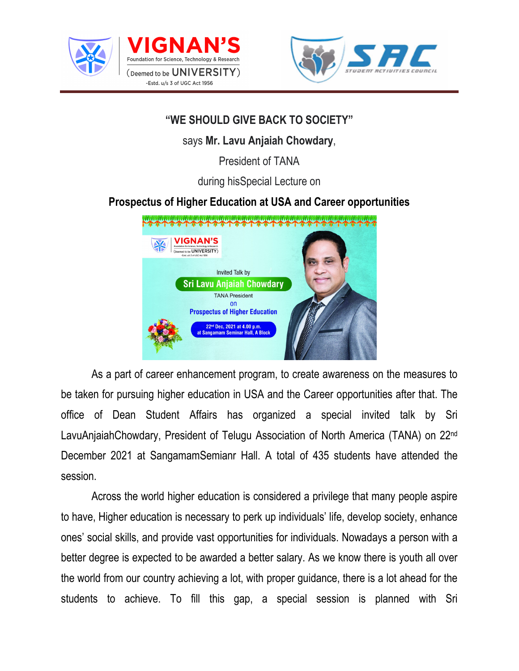





## **"WE SHOULD GIVE BACK TO SOCIETY"**

says **Mr. Lavu Anjaiah Chowdary**,

President of TANA

during hisSpecial Lecture on

## **Prospectus of Higher Education at USA and Career opportunities**



 As a part of career enhancement program, to create awareness on the measures to be taken for pursuing higher education in USA and the Career opportunities after that. The office of Dean Student Affairs has organized a special invited talk by Sri LavuAnjaiahChowdary, President of Telugu Association of North America (TANA) on 22nd December 2021 at SangamamSemianr Hall. A total of 435 students have attended the session.

 Across the world higher education is considered a privilege that many people aspire to have, Higher education is necessary to perk up individuals' life, develop society, enhance ones' social skills, and provide vast opportunities for individuals. Nowadays a person with a better degree is expected to be awarded a better salary. As we know there is youth all over the world from our country achieving a lot, with proper guidance, there is a lot ahead for the students to achieve. To fill this gap, a special session is planned with Sri